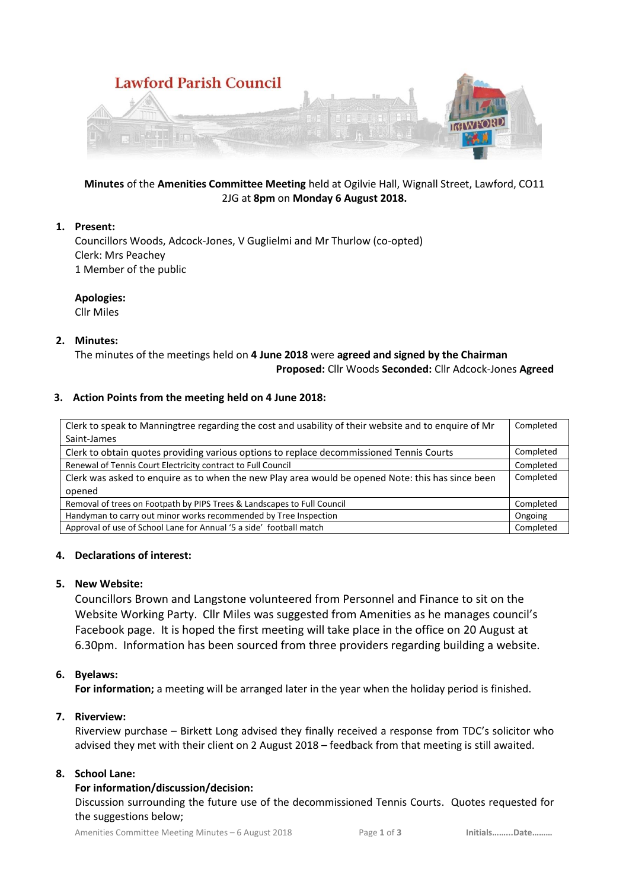

## **Minutes** of the **Amenities Committee Meeting** held at Ogilvie Hall, Wignall Street, Lawford, CO11 2JG at **8pm** on **Monday 6 August 2018.**

## **1. Present:**

Councillors Woods, Adcock-Jones, V Guglielmi and Mr Thurlow (co-opted) Clerk: Mrs Peachey 1 Member of the public

### **Apologies:**

Cllr Miles

## **2. Minutes:**

The minutes of the meetings held on **4 June 2018** were **agreed and signed by the Chairman Proposed:** Cllr Woods **Seconded:** Cllr Adcock-Jones **Agreed**

## **3. Action Points from the meeting held on 4 June 2018:**

| Clerk to speak to Manningtree regarding the cost and usability of their website and to enquire of Mr | Completed |
|------------------------------------------------------------------------------------------------------|-----------|
| Saint-James                                                                                          |           |
| Clerk to obtain quotes providing various options to replace decommissioned Tennis Courts             | Completed |
| Renewal of Tennis Court Electricity contract to Full Council                                         | Completed |
| Clerk was asked to enquire as to when the new Play area would be opened Note: this has since been    | Completed |
| opened                                                                                               |           |
| Removal of trees on Footpath by PIPS Trees & Landscapes to Full Council                              | Completed |
| Handyman to carry out minor works recommended by Tree Inspection                                     | Ongoing   |
| Approval of use of School Lane for Annual '5 a side' football match                                  | Completed |

### **4. Declarations of interest:**

# **5. New Website:**

Councillors Brown and Langstone volunteered from Personnel and Finance to sit on the Website Working Party. Cllr Miles was suggested from Amenities as he manages council's Facebook page. It is hoped the first meeting will take place in the office on 20 August at 6.30pm. Information has been sourced from three providers regarding building a website.

# **6. Byelaws:**

**For information;** a meeting will be arranged later in the year when the holiday period is finished.

# **7. Riverview:**

Riverview purchase – Birkett Long advised they finally received a response from TDC's solicitor who advised they met with their client on 2 August 2018 – feedback from that meeting is still awaited.

# **8. School Lane:**

### **For information/discussion/decision:**

Discussion surrounding the future use of the decommissioned Tennis Courts. Quotes requested for the suggestions below;

Amenities Committee Meeting Minutes – 6 August 2018 Page **1** of **3 Initials……...Date………**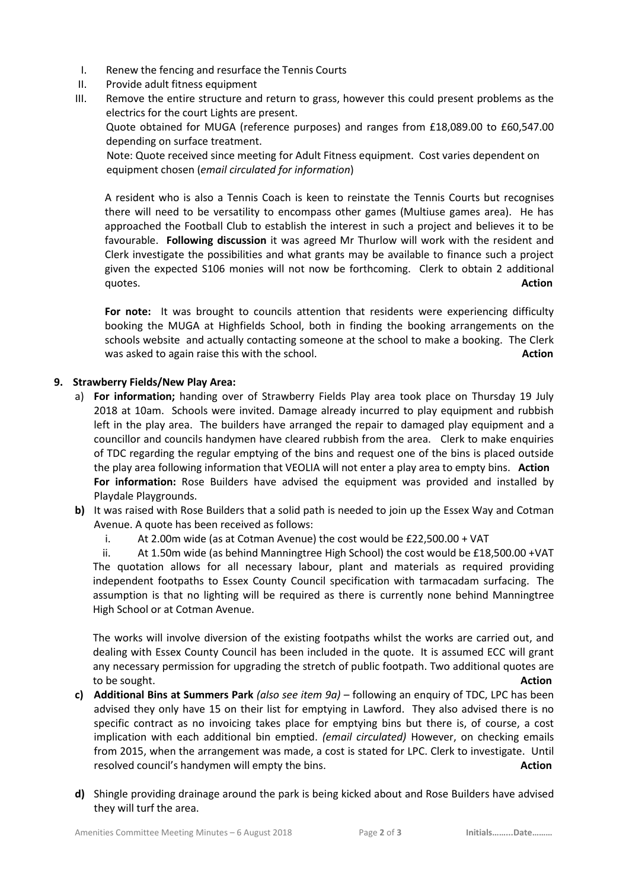- I. Renew the fencing and resurface the Tennis Courts
- II. Provide adult fitness equipment
- III. Remove the entire structure and return to grass, however this could present problems as the electrics for the court Lights are present.

Quote obtained for MUGA (reference purposes) and ranges from £18,089.00 to £60,547.00 depending on surface treatment.

 Note: Quote received since meeting for Adult Fitness equipment. Cost varies dependent on equipment chosen (*email circulated for information*)

A resident who is also a Tennis Coach is keen to reinstate the Tennis Courts but recognises there will need to be versatility to encompass other games (Multiuse games area). He has approached the Football Club to establish the interest in such a project and believes it to be favourable. **Following discussion** it was agreed Mr Thurlow will work with the resident and Clerk investigate the possibilities and what grants may be available to finance such a project given the expected S106 monies will not now be forthcoming. Clerk to obtain 2 additional quotes. **Action** 

**For note:** It was brought to councils attention that residents were experiencing difficulty booking the MUGA at Highfields School, both in finding the booking arrangements on the schools website and actually contacting someone at the school to make a booking. The Clerk was asked to again raise this with the school. **Action Action Action Action** 

## **9. Strawberry Fields/New Play Area:**

- a) **For information;** handing over of Strawberry Fields Play area took place on Thursday 19 July 2018 at 10am. Schools were invited. Damage already incurred to play equipment and rubbish left in the play area. The builders have arranged the repair to damaged play equipment and a councillor and councils handymen have cleared rubbish from the area. Clerk to make enquiries of TDC regarding the regular emptying of the bins and request one of the bins is placed outside the play area following information that VEOLIA will not enter a play area to empty bins. **Action For information:** Rose Builders have advised the equipment was provided and installed by Playdale Playgrounds.
- **b)** It was raised with Rose Builders that a solid path is needed to join up the Essex Way and Cotman Avenue. A quote has been received as follows:
	- i. At 2.00m wide (as at Cotman Avenue) the cost would be £22,500.00 + VAT

ii. At 1.50m wide (as behind Manningtree High School) the cost would be £18,500.00 +VAT The quotation allows for all necessary labour, plant and materials as required providing independent footpaths to Essex County Council specification with tarmacadam surfacing. The assumption is that no lighting will be required as there is currently none behind Manningtree High School or at Cotman Avenue.

The works will involve diversion of the existing footpaths whilst the works are carried out, and dealing with Essex County Council has been included in the quote. It is assumed ECC will grant any necessary permission for upgrading the stretch of public footpath. Two additional quotes are to be sought. **Action**

- **c) Additional Bins at Summers Park** *(also see item 9a)* following an enquiry of TDC, LPC has been advised they only have 15 on their list for emptying in Lawford. They also advised there is no specific contract as no invoicing takes place for emptying bins but there is, of course, a cost implication with each additional bin emptied. *(email circulated)* However, on checking emails from 2015, when the arrangement was made, a cost is stated for LPC. Clerk to investigate. Until resolved council's handymen will empty the bins. **Action**
- **d)** Shingle providing drainage around the park is being kicked about and Rose Builders have advised they will turf the area.